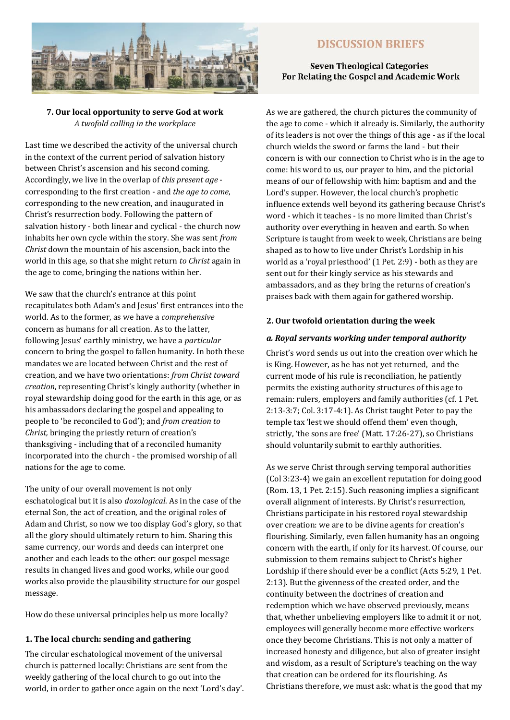

## **7. Our local opportunity to serve God at work** *A twofold calling in the workplace*

Last time we described the activity of the universal church in the context of the current period of salvation history between Christ's ascension and his second coming. Accordingly, we live in the overlap of *this present age*  corresponding to the first creation - and *the age to come*, corresponding to the new creation, and inaugurated in Christ's resurrection body. Following the pattern of salvation history - both linear and cyclical - the church now inhabits her own cycle within the story. She was sent *from Christ* down the mountain of his ascension, back into the world in this age, so that she might return *to Christ* again in the age to come, bringing the nations within her.

We saw that the church's entrance at this point recapitulates both Adam's and Jesus' first entrances into the world. As to the former, as we have a *comprehensive*  concern as humans for all creation. As to the latter, following Jesus' earthly ministry, we have a *particular* concern to bring the gospel to fallen humanity. In both these mandates we are located between Christ and the rest of creation, and we have two orientations: *from Christ toward creation*, representing Christ's kingly authority (whether in royal stewardship doing good for the earth in this age, or as his ambassadors declaring the gospel and appealing to people to 'be reconciled to God'); and *from creation to Christ,* bringing the priestly return of creation's thanksgiving - including that of a reconciled humanity incorporated into the church - the promised worship of all nations for the age to come.

The unity of our overall movement is not only eschatological but it is also *doxological*. As in the case of the eternal Son, the act of creation, and the original roles of Adam and Christ, so now we too display God's glory, so that all the glory should ultimately return to him. Sharing this same currency, our words and deeds can interpret one another and each leads to the other: our gospel message results in changed lives and good works, while our good works also provide the plausibility structure for our gospel message.

How do these universal principles help us more locally?

### **1. The local church: sending and gathering**

The circular eschatological movement of the universal church is patterned locally: Christians are sent from the weekly gathering of the local church to go out into the world, in order to gather once again on the next 'Lord's day'.

# **DISCUSSION BRIEFS**

## **Seven Theological Categories** For Relating the Gospel and Academic Work

As we are gathered, the church pictures the community of the age to come - which it already is. Similarly, the authority of its leaders is not over the things of this age - as if the local church wields the sword or farms the land - but their concern is with our connection to Christ who is in the age to come: his word to us, our prayer to him, and the pictorial means of our of fellowship with him: baptism and and the Lord's supper. However, the local church's prophetic influence extends well beyond its gathering because Christ's word - which it teaches - is no more limited than Christ's authority over everything in heaven and earth. So when Scripture is taught from week to week, Christians are being shaped as to how to live under Christ's Lordship in his world as a 'royal priesthood' (1 Pet. 2:9) - both as they are sent out for their kingly service as his stewards and ambassadors, and as they bring the returns of creation's praises back with them again for gathered worship.

## **2. Our twofold orientation during the week**

## *a. Royal servants working under temporal authority*

Christ's word sends us out into the creation over which he is King. However, as he has not yet returned, and the current mode of his rule is reconciliation, he patiently permits the existing authority structures of this age to remain: rulers, employers and family authorities (cf. 1 Pet. 2:13-3:7; Col. 3:17-4:1). As Christ taught Peter to pay the temple tax 'lest we should offend them' even though, strictly, 'the sons are free' (Matt. 17:26-27), so Christians should voluntarily submit to earthly authorities.

As we serve Christ through serving temporal authorities (Col 3:23-4) we gain an excellent reputation for doing good (Rom. 13, 1 Pet. 2:15). Such reasoning implies a significant overall alignment of interests. By Christ's resurrection, Christians participate in his restored royal stewardship over creation: we are to be divine agents for creation's flourishing. Similarly, even fallen humanity has an ongoing concern with the earth, if only for its harvest. Of course, our submission to them remains subject to Christ's higher Lordship if there should ever be a conflict (Acts 5:29, 1 Pet. 2:13). But the givenness of the created order, and the continuity between the doctrines of creation and redemption which we have observed previously, means that, whether unbelieving employers like to admit it or not, employees will generally become more effective workers once they become Christians. This is not only a matter of increased honesty and diligence, but also of greater insight and wisdom, as a result of Scripture's teaching on the way that creation can be ordered for its flourishing. As Christians therefore, we must ask: what is the good that my